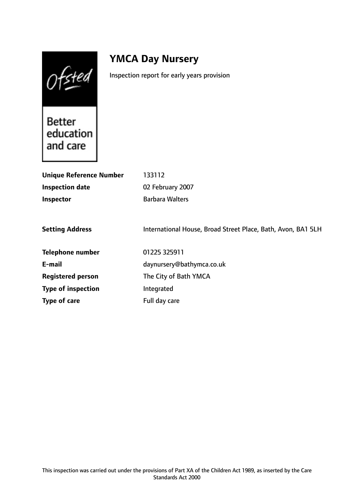Ofsted

# **YMCA Day Nursery**

Inspection report for early years provision

**Better** education and care

| <b>Unique Reference Number</b><br><b>Inspection date</b><br>Inspector | 133112<br>02 February 2007<br><b>Barbara Walters</b>         |
|-----------------------------------------------------------------------|--------------------------------------------------------------|
| <b>Setting Address</b>                                                | International House, Broad Street Place, Bath, Avon, BA1 5LH |
| <b>Telephone number</b>                                               | 01225 325911                                                 |
| E-mail                                                                | daynursery@bathymca.co.uk                                    |
| <b>Registered person</b>                                              | The City of Bath YMCA                                        |
| <b>Type of inspection</b>                                             | Integrated                                                   |
| Type of care                                                          | Full day care                                                |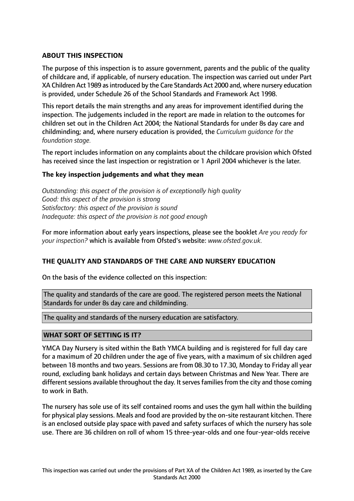## **ABOUT THIS INSPECTION**

The purpose of this inspection is to assure government, parents and the public of the quality of childcare and, if applicable, of nursery education. The inspection was carried out under Part XA Children Act 1989 as introduced by the Care Standards Act 2000 and, where nursery education is provided, under Schedule 26 of the School Standards and Framework Act 1998.

This report details the main strengths and any areas for improvement identified during the inspection. The judgements included in the report are made in relation to the outcomes for children set out in the Children Act 2004; the National Standards for under 8s day care and childminding; and, where nursery education is provided, the *Curriculum guidance for the foundation stage.*

The report includes information on any complaints about the childcare provision which Ofsted has received since the last inspection or registration or 1 April 2004 whichever is the later.

## **The key inspection judgements and what they mean**

*Outstanding: this aspect of the provision is of exceptionally high quality Good: this aspect of the provision is strong Satisfactory: this aspect of the provision is sound Inadequate: this aspect of the provision is not good enough*

For more information about early years inspections, please see the booklet *Are you ready for your inspection?* which is available from Ofsted's website: *www.ofsted.gov.uk.*

## **THE QUALITY AND STANDARDS OF THE CARE AND NURSERY EDUCATION**

On the basis of the evidence collected on this inspection:

The quality and standards of the care are good. The registered person meets the National Standards for under 8s day care and childminding.

The quality and standards of the nursery education are satisfactory.

## **WHAT SORT OF SETTING IS IT?**

YMCA Day Nursery is sited within the Bath YMCA building and is registered for full day care for a maximum of 20 children under the age of five years, with a maximum of six children aged between 18 months and two years. Sessions are from 08.30 to 17.30, Monday to Friday all year round, excluding bank holidays and certain days between Christmas and New Year. There are different sessions available throughout the day. It serves families from the city and those coming to work in Bath.

The nursery has sole use of its self contained rooms and uses the gym hall within the building for physical play sessions. Meals and food are provided by the on-site restaurant kitchen. There is an enclosed outside play space with paved and safety surfaces of which the nursery has sole use. There are 36 children on roll of whom 15 three-year-olds and one four-year-olds receive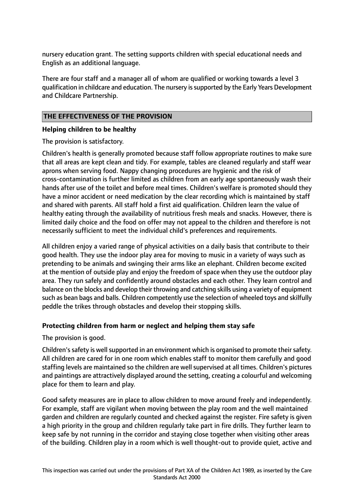nursery education grant. The setting supports children with special educational needs and English as an additional language.

There are four staff and a manager all of whom are qualified or working towards a level 3 qualification in childcare and education. The nursery issupported by the Early Years Development and Childcare Partnership.

## **THE EFFECTIVENESS OF THE PROVISION**

## **Helping children to be healthy**

The provision is satisfactory.

Children's health is generally promoted because staff follow appropriate routines to make sure that all areas are kept clean and tidy. For example, tables are cleaned regularly and staff wear aprons when serving food. Nappy changing procedures are hygienic and the risk of cross-contamination is further limited as children from an early age spontaneously wash their hands after use of the toilet and before meal times. Children's welfare is promoted should they have a minor accident or need medication by the clear recording which is maintained by staff and shared with parents. All staff hold a first aid qualification. Children learn the value of healthy eating through the availability of nutritious fresh meals and snacks. However, there is limited daily choice and the food on offer may not appeal to the children and therefore is not necessarily sufficient to meet the individual child's preferences and requirements.

All children enjoy a varied range of physical activities on a daily basis that contribute to their good health. They use the indoor play area for moving to music in a variety of ways such as pretending to be animals and swinging their arms like an elephant. Children become excited at the mention of outside play and enjoy the freedom of space when they use the outdoor play area. They run safely and confidently around obstacles and each other. They learn control and balance on the blocks and develop their throwing and catching skills using a variety of equipment such as bean bags and balls. Children competently use the selection of wheeled toys and skilfully peddle the trikes through obstacles and develop their stopping skills.

# **Protecting children from harm or neglect and helping them stay safe**

The provision is good.

Children's safety is well supported in an environment which is organised to promote their safety. All children are cared for in one room which enables staff to monitor them carefully and good staffing levels are maintained so the children are well supervised at all times. Children's pictures and paintings are attractively displayed around the setting, creating a colourful and welcoming place for them to learn and play.

Good safety measures are in place to allow children to move around freely and independently. For example, staff are vigilant when moving between the play room and the well maintained garden and children are regularly counted and checked against the register. Fire safety is given a high priority in the group and children regularly take part in fire drills. They further learn to keep safe by not running in the corridor and staying close together when visiting other areas of the building. Children play in a room which is well thought-out to provide quiet, active and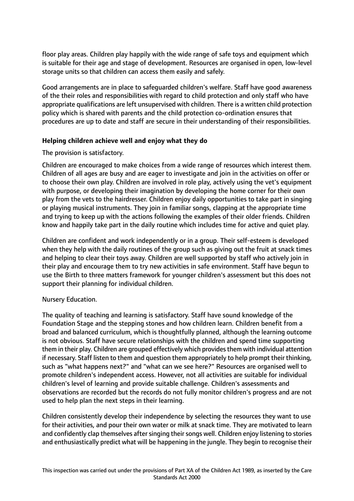floor play areas. Children play happily with the wide range of safe toys and equipment which is suitable for their age and stage of development. Resources are organised in open, low-level storage units so that children can access them easily and safely.

Good arrangements are in place to safeguarded children's welfare. Staff have good awareness of the their roles and responsibilities with regard to child protection and only staff who have appropriate qualifications are left unsupervised with children. There is a written child protection policy which is shared with parents and the child protection co-ordination ensures that procedures are up to date and staff are secure in their understanding of their responsibilities.

## **Helping children achieve well and enjoy what they do**

## The provision is satisfactory.

Children are encouraged to make choices from a wide range of resources which interest them. Children of all ages are busy and are eager to investigate and join in the activities on offer or to choose their own play. Children are involved in role play, actively using the vet's equipment with purpose, or developing their imagination by developing the home corner for their own play from the vets to the hairdresser. Children enjoy daily opportunities to take part in singing or playing musical instruments. They join in familiar songs, clapping at the appropriate time and trying to keep up with the actions following the examples of their older friends. Children know and happily take part in the daily routine which includes time for active and quiet play.

Children are confident and work independently or in a group. Their self-esteem is developed when they help with the daily routines of the group such as giving out the fruit at snack times and helping to clear their toys away. Children are well supported by staff who actively join in their play and encourage them to try new activities in safe environment. Staff have begun to use the Birth to three matters framework for younger children's assessment but this does not support their planning for individual children.

## Nursery Education.

The quality of teaching and learning is satisfactory. Staff have sound knowledge of the Foundation Stage and the stepping stones and how children learn. Children benefit from a broad and balanced curriculum, which is thoughtfully planned, although the learning outcome is not obvious. Staff have secure relationships with the children and spend time supporting them in their play. Children are grouped effectively which providesthem with individual attention if necessary. Staff listen to them and question them appropriately to help prompt their thinking, such as "what happens next?" and "what can we see here?" Resources are organised well to promote children's independent access. However, not all activities are suitable for individual children's level of learning and provide suitable challenge. Children's assessments and observations are recorded but the records do not fully monitor children's progress and are not used to help plan the next steps in their learning.

Children consistently develop their independence by selecting the resources they want to use for their activities, and pour their own water or milk at snack time. They are motivated to learn and confidently clap themselves after singing their songs well. Children enjoy listening to stories and enthusiastically predict what will be happening in the jungle. They begin to recognise their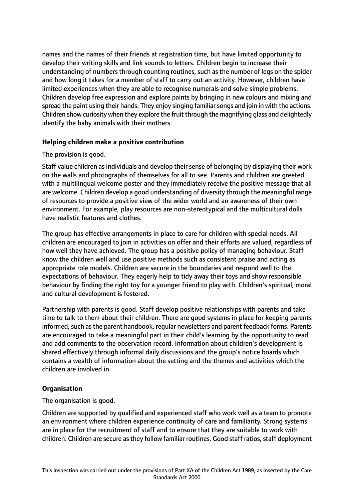names and the names of their friends at registration time, but have limited opportunity to develop their writing skills and link sounds to letters. Children begin to increase their understanding of numbers through counting routines, such as the number of legs on the spider and how long it takes for a member of staff to carry out an activity. However, children have limited experiences when they are able to recognise numerals and solve simple problems. Children develop free expression and explore paints by bringing in new colours and mixing and spread the paint using their hands. They enjoy singing familiar songs and join in with the actions. Children show curiosity when they explore the fruit through the magnifying glass and delightedly identify the baby animals with their mothers.

## **Helping children make a positive contribution**

#### The provision is good.

Staff value children as individuals and develop their sense of belonging by displaying their work on the walls and photographs of themselves for all to see. Parents and children are greeted with a multilingual welcome poster and they immediately receive the positive message that all are welcome. Children develop a good understanding of diversity through the meaningful range of resources to provide a positive view of the wider world and an awareness of their own environment. For example, play resources are non-stereotypical and the multicultural dolls have realistic features and clothes.

The group has effective arrangements in place to care for children with special needs. All children are encouraged to join in activities on offer and their efforts are valued, regardless of how well they have achieved. The group has a positive policy of managing behaviour. Staff know the children well and use positive methods such as consistent praise and acting as appropriate role models. Children are secure in the boundaries and respond well to the expectations of behaviour. They eagerly help to tidy away their toys and show responsible behaviour by finding the right toy for a younger friend to play with. Children's spiritual, moral and cultural development is fostered.

Partnership with parents is good. Staff develop positive relationships with parents and take time to talk to them about their children. There are good systems in place for keeping parents informed, such as the parent handbook, regular newsletters and parent feedback forms. Parents are encouraged to take a meaningful part in their child's learning by the opportunity to read and add comments to the observation record. Information about children's development is shared effectively through informal daily discussions and the group's notice boards which contains a wealth of information about the setting and the themes and activities which the children are involved in.

## **Organisation**

The organisation is good.

Children are supported by qualified and experienced staff who work well as a team to promote an environment where children experience continuity of care and familiarity. Strong systems are in place for the recruitment of staff and to ensure that they are suitable to work with children. Children are secure as they follow familiar routines. Good staff ratios, staff deployment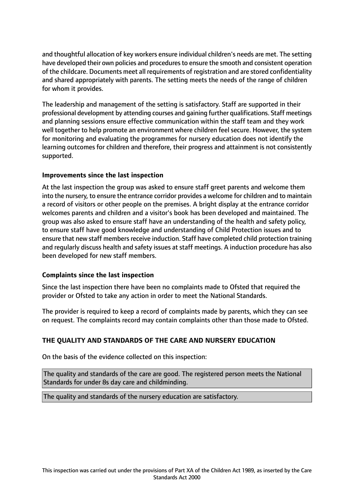and thoughtful allocation of key workers ensure individual children's needs are met. The setting have developed their own policies and procedures to ensure the smooth and consistent operation of the childcare. Documents meet all requirements of registration and are stored confidentiality and shared appropriately with parents. The setting meets the needs of the range of children for whom it provides.

The leadership and management of the setting is satisfactory. Staff are supported in their professional development by attending courses and gaining further qualifications. Staff meetings and planning sessions ensure effective communication within the staff team and they work well together to help promote an environment where children feel secure. However, the system for monitoring and evaluating the programmes for nursery education does not identify the learning outcomes for children and therefore, their progress and attainment is not consistently supported.

## **Improvements since the last inspection**

At the last inspection the group was asked to ensure staff greet parents and welcome them into the nursery, to ensure the entrance corridor provides a welcome for children and to maintain a record of visitors or other people on the premises. A bright display at the entrance corridor welcomes parents and children and a visitor's book has been developed and maintained. The group was also asked to ensure staff have an understanding of the health and safety policy, to ensure staff have good knowledge and understanding of Child Protection issues and to ensure that new staff members receive induction. Staff have completed child protection training and regularly discuss health and safety issues at staff meetings. A induction procedure has also been developed for new staff members.

## **Complaints since the last inspection**

Since the last inspection there have been no complaints made to Ofsted that required the provider or Ofsted to take any action in order to meet the National Standards.

The provider is required to keep a record of complaints made by parents, which they can see on request. The complaints record may contain complaints other than those made to Ofsted.

## **THE QUALITY AND STANDARDS OF THE CARE AND NURSERY EDUCATION**

On the basis of the evidence collected on this inspection:

The quality and standards of the care are good. The registered person meets the National Standards for under 8s day care and childminding.

The quality and standards of the nursery education are satisfactory.